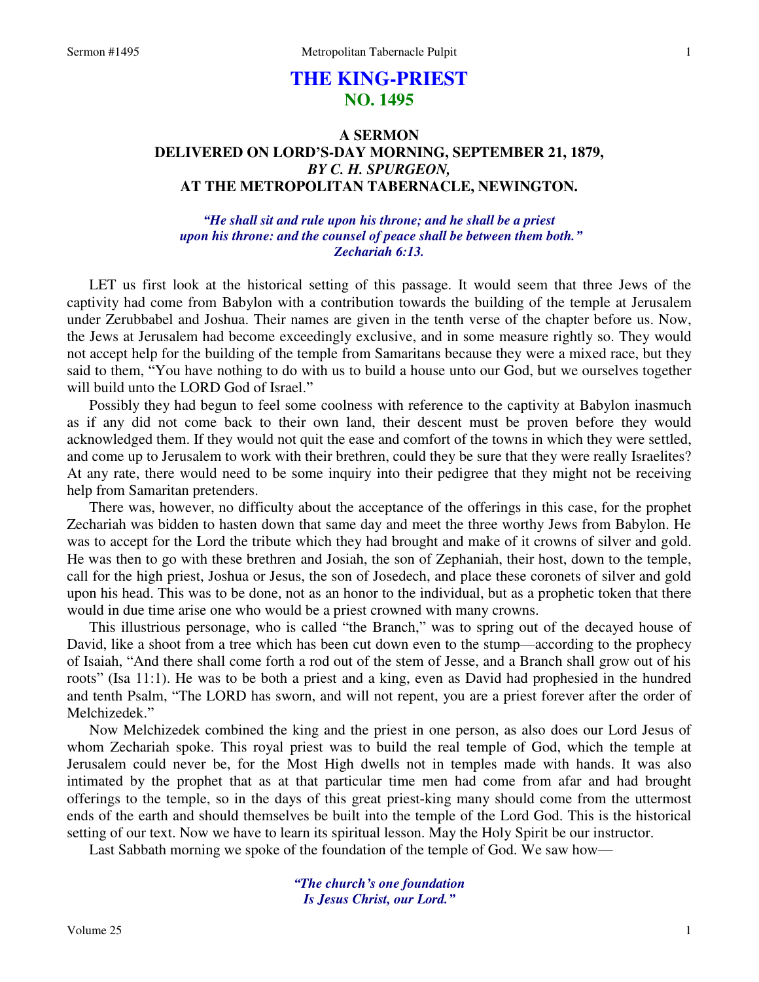# **THE KING-PRIEST NO. 1495**

## **A SERMON DELIVERED ON LORD'S-DAY MORNING, SEPTEMBER 21, 1879,**  *BY C. H. SPURGEON,*  **AT THE METROPOLITAN TABERNACLE, NEWINGTON.**

## *"He shall sit and rule upon his throne; and he shall be a priest upon his throne: and the counsel of peace shall be between them both." Zechariah 6:13.*

LET us first look at the historical setting of this passage. It would seem that three Jews of the captivity had come from Babylon with a contribution towards the building of the temple at Jerusalem under Zerubbabel and Joshua. Their names are given in the tenth verse of the chapter before us. Now, the Jews at Jerusalem had become exceedingly exclusive, and in some measure rightly so. They would not accept help for the building of the temple from Samaritans because they were a mixed race, but they said to them, "You have nothing to do with us to build a house unto our God, but we ourselves together will build unto the LORD God of Israel."

 Possibly they had begun to feel some coolness with reference to the captivity at Babylon inasmuch as if any did not come back to their own land, their descent must be proven before they would acknowledged them. If they would not quit the ease and comfort of the towns in which they were settled, and come up to Jerusalem to work with their brethren, could they be sure that they were really Israelites? At any rate, there would need to be some inquiry into their pedigree that they might not be receiving help from Samaritan pretenders.

 There was, however, no difficulty about the acceptance of the offerings in this case, for the prophet Zechariah was bidden to hasten down that same day and meet the three worthy Jews from Babylon. He was to accept for the Lord the tribute which they had brought and make of it crowns of silver and gold. He was then to go with these brethren and Josiah, the son of Zephaniah, their host, down to the temple, call for the high priest, Joshua or Jesus, the son of Josedech, and place these coronets of silver and gold upon his head. This was to be done, not as an honor to the individual, but as a prophetic token that there would in due time arise one who would be a priest crowned with many crowns.

 This illustrious personage, who is called "the Branch," was to spring out of the decayed house of David, like a shoot from a tree which has been cut down even to the stump—according to the prophecy of Isaiah, "And there shall come forth a rod out of the stem of Jesse, and a Branch shall grow out of his roots" (Isa 11:1). He was to be both a priest and a king, even as David had prophesied in the hundred and tenth Psalm, "The LORD has sworn, and will not repent, you are a priest forever after the order of Melchizedek."

 Now Melchizedek combined the king and the priest in one person, as also does our Lord Jesus of whom Zechariah spoke. This royal priest was to build the real temple of God, which the temple at Jerusalem could never be, for the Most High dwells not in temples made with hands. It was also intimated by the prophet that as at that particular time men had come from afar and had brought offerings to the temple, so in the days of this great priest-king many should come from the uttermost ends of the earth and should themselves be built into the temple of the Lord God. This is the historical setting of our text. Now we have to learn its spiritual lesson. May the Holy Spirit be our instructor.

Last Sabbath morning we spoke of the foundation of the temple of God. We saw how—

*"The church's one foundation Is Jesus Christ, our Lord."*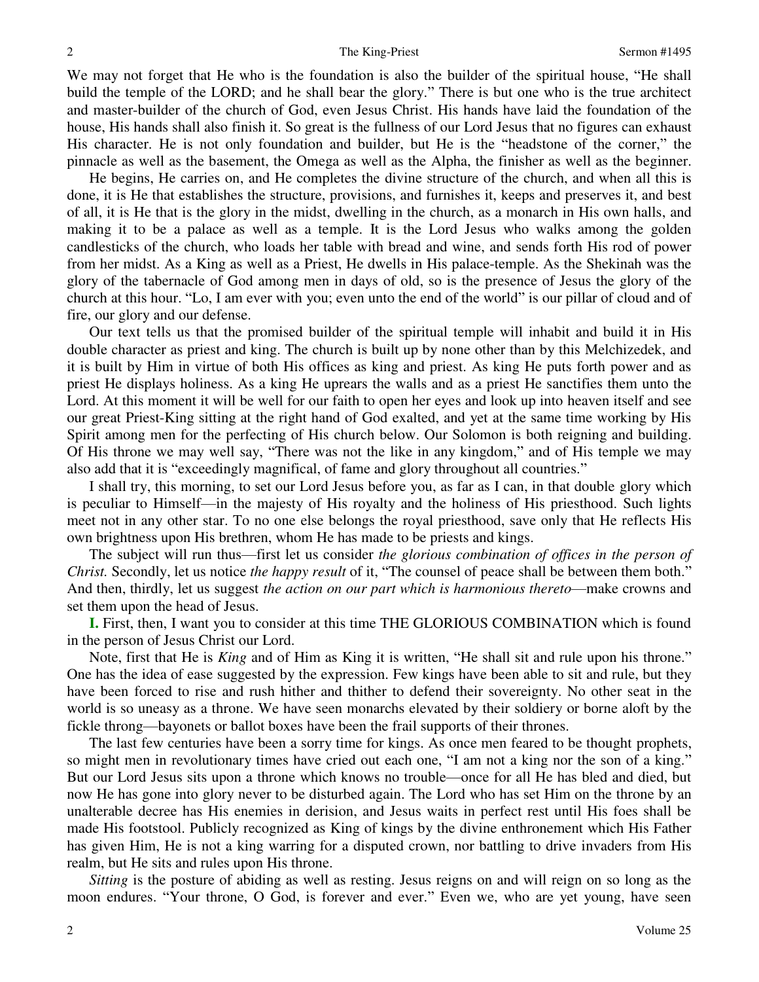We may not forget that He who is the foundation is also the builder of the spiritual house, "He shall build the temple of the LORD; and he shall bear the glory." There is but one who is the true architect and master-builder of the church of God, even Jesus Christ. His hands have laid the foundation of the house, His hands shall also finish it. So great is the fullness of our Lord Jesus that no figures can exhaust His character. He is not only foundation and builder, but He is the "headstone of the corner," the pinnacle as well as the basement, the Omega as well as the Alpha, the finisher as well as the beginner.

 He begins, He carries on, and He completes the divine structure of the church, and when all this is done, it is He that establishes the structure, provisions, and furnishes it, keeps and preserves it, and best of all, it is He that is the glory in the midst, dwelling in the church, as a monarch in His own halls, and making it to be a palace as well as a temple. It is the Lord Jesus who walks among the golden candlesticks of the church, who loads her table with bread and wine, and sends forth His rod of power from her midst. As a King as well as a Priest, He dwells in His palace-temple. As the Shekinah was the glory of the tabernacle of God among men in days of old, so is the presence of Jesus the glory of the church at this hour. "Lo, I am ever with you; even unto the end of the world" is our pillar of cloud and of fire, our glory and our defense.

 Our text tells us that the promised builder of the spiritual temple will inhabit and build it in His double character as priest and king. The church is built up by none other than by this Melchizedek, and it is built by Him in virtue of both His offices as king and priest. As king He puts forth power and as priest He displays holiness. As a king He uprears the walls and as a priest He sanctifies them unto the Lord. At this moment it will be well for our faith to open her eyes and look up into heaven itself and see our great Priest-King sitting at the right hand of God exalted, and yet at the same time working by His Spirit among men for the perfecting of His church below. Our Solomon is both reigning and building. Of His throne we may well say, "There was not the like in any kingdom," and of His temple we may also add that it is "exceedingly magnifical, of fame and glory throughout all countries."

 I shall try, this morning, to set our Lord Jesus before you, as far as I can, in that double glory which is peculiar to Himself—in the majesty of His royalty and the holiness of His priesthood. Such lights meet not in any other star. To no one else belongs the royal priesthood, save only that He reflects His own brightness upon His brethren, whom He has made to be priests and kings.

 The subject will run thus—first let us consider *the glorious combination of offices in the person of Christ.* Secondly, let us notice *the happy result* of it, "The counsel of peace shall be between them both." And then, thirdly, let us suggest *the action on our part which is harmonious thereto*—make crowns and set them upon the head of Jesus.

**I.** First, then, I want you to consider at this time THE GLORIOUS COMBINATION which is found in the person of Jesus Christ our Lord.

 Note, first that He is *King* and of Him as King it is written, "He shall sit and rule upon his throne." One has the idea of ease suggested by the expression. Few kings have been able to sit and rule, but they have been forced to rise and rush hither and thither to defend their sovereignty. No other seat in the world is so uneasy as a throne. We have seen monarchs elevated by their soldiery or borne aloft by the fickle throng—bayonets or ballot boxes have been the frail supports of their thrones.

 The last few centuries have been a sorry time for kings. As once men feared to be thought prophets, so might men in revolutionary times have cried out each one, "I am not a king nor the son of a king." But our Lord Jesus sits upon a throne which knows no trouble—once for all He has bled and died, but now He has gone into glory never to be disturbed again. The Lord who has set Him on the throne by an unalterable decree has His enemies in derision, and Jesus waits in perfect rest until His foes shall be made His footstool. Publicly recognized as King of kings by the divine enthronement which His Father has given Him, He is not a king warring for a disputed crown, nor battling to drive invaders from His realm, but He sits and rules upon His throne.

*Sitting* is the posture of abiding as well as resting. Jesus reigns on and will reign on so long as the moon endures. "Your throne, O God, is forever and ever." Even we, who are yet young, have seen

2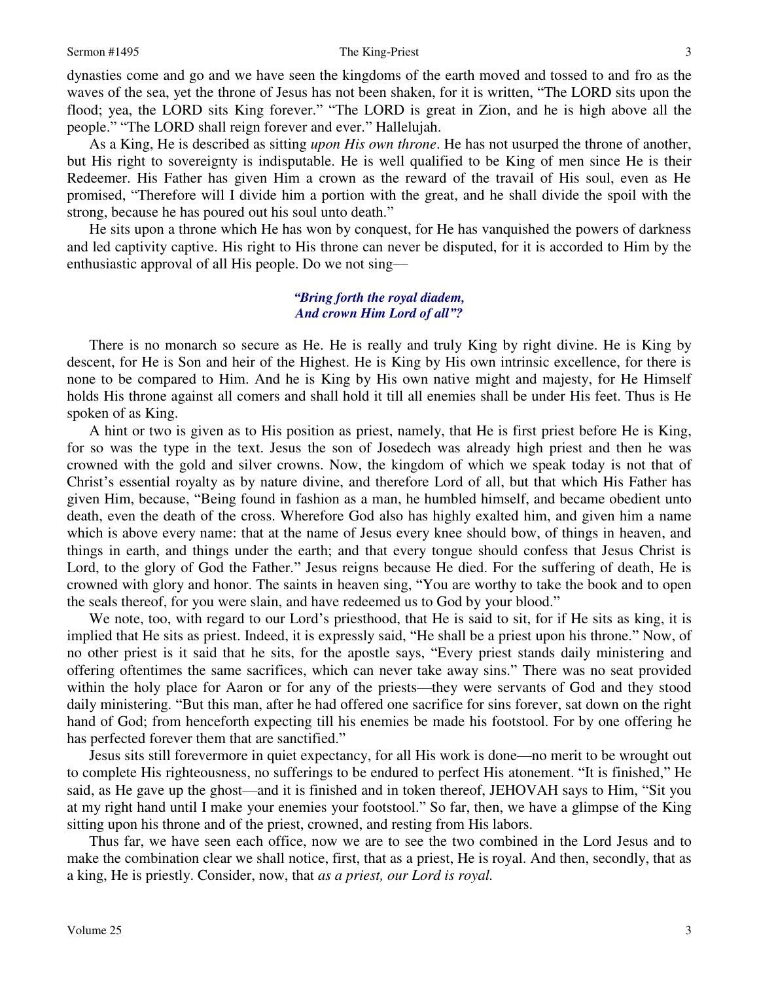#### Sermon #1495 The King-Priest

dynasties come and go and we have seen the kingdoms of the earth moved and tossed to and fro as the waves of the sea, yet the throne of Jesus has not been shaken, for it is written, "The LORD sits upon the flood; yea, the LORD sits King forever." "The LORD is great in Zion, and he is high above all the people." "The LORD shall reign forever and ever." Hallelujah.

 As a King, He is described as sitting *upon His own throne*. He has not usurped the throne of another, but His right to sovereignty is indisputable. He is well qualified to be King of men since He is their Redeemer. His Father has given Him a crown as the reward of the travail of His soul, even as He promised, "Therefore will I divide him a portion with the great, and he shall divide the spoil with the strong, because he has poured out his soul unto death."

 He sits upon a throne which He has won by conquest, for He has vanquished the powers of darkness and led captivity captive. His right to His throne can never be disputed, for it is accorded to Him by the enthusiastic approval of all His people. Do we not sing—

## *"Bring forth the royal diadem, And crown Him Lord of all"?*

 There is no monarch so secure as He. He is really and truly King by right divine. He is King by descent, for He is Son and heir of the Highest. He is King by His own intrinsic excellence, for there is none to be compared to Him. And he is King by His own native might and majesty, for He Himself holds His throne against all comers and shall hold it till all enemies shall be under His feet. Thus is He spoken of as King.

 A hint or two is given as to His position as priest, namely, that He is first priest before He is King, for so was the type in the text. Jesus the son of Josedech was already high priest and then he was crowned with the gold and silver crowns. Now, the kingdom of which we speak today is not that of Christ's essential royalty as by nature divine, and therefore Lord of all, but that which His Father has given Him, because, "Being found in fashion as a man, he humbled himself, and became obedient unto death, even the death of the cross. Wherefore God also has highly exalted him, and given him a name which is above every name: that at the name of Jesus every knee should bow, of things in heaven, and things in earth, and things under the earth; and that every tongue should confess that Jesus Christ is Lord, to the glory of God the Father." Jesus reigns because He died. For the suffering of death, He is crowned with glory and honor. The saints in heaven sing, "You are worthy to take the book and to open the seals thereof, for you were slain, and have redeemed us to God by your blood."

 We note, too, with regard to our Lord's priesthood, that He is said to sit, for if He sits as king, it is implied that He sits as priest. Indeed, it is expressly said, "He shall be a priest upon his throne." Now, of no other priest is it said that he sits, for the apostle says, "Every priest stands daily ministering and offering oftentimes the same sacrifices, which can never take away sins." There was no seat provided within the holy place for Aaron or for any of the priests—they were servants of God and they stood daily ministering. "But this man, after he had offered one sacrifice for sins forever, sat down on the right hand of God; from henceforth expecting till his enemies be made his footstool. For by one offering he has perfected forever them that are sanctified."

 Jesus sits still forevermore in quiet expectancy, for all His work is done—no merit to be wrought out to complete His righteousness, no sufferings to be endured to perfect His atonement. "It is finished," He said, as He gave up the ghost—and it is finished and in token thereof, JEHOVAH says to Him, "Sit you at my right hand until I make your enemies your footstool." So far, then, we have a glimpse of the King sitting upon his throne and of the priest, crowned, and resting from His labors.

 Thus far, we have seen each office, now we are to see the two combined in the Lord Jesus and to make the combination clear we shall notice, first, that as a priest, He is royal. And then, secondly, that as a king, He is priestly. Consider, now, that *as a priest, our Lord is royal.*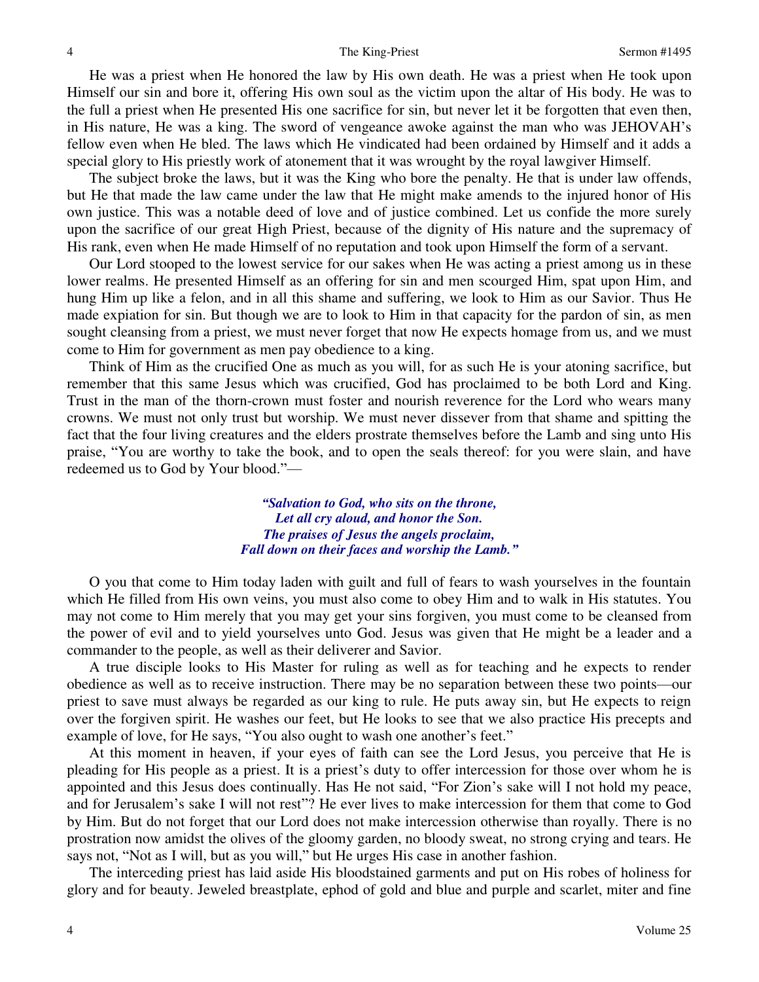He was a priest when He honored the law by His own death. He was a priest when He took upon Himself our sin and bore it, offering His own soul as the victim upon the altar of His body. He was to the full a priest when He presented His one sacrifice for sin, but never let it be forgotten that even then, in His nature, He was a king. The sword of vengeance awoke against the man who was JEHOVAH's fellow even when He bled. The laws which He vindicated had been ordained by Himself and it adds a special glory to His priestly work of atonement that it was wrought by the royal lawgiver Himself.

 The subject broke the laws, but it was the King who bore the penalty. He that is under law offends, but He that made the law came under the law that He might make amends to the injured honor of His own justice. This was a notable deed of love and of justice combined. Let us confide the more surely upon the sacrifice of our great High Priest, because of the dignity of His nature and the supremacy of His rank, even when He made Himself of no reputation and took upon Himself the form of a servant.

 Our Lord stooped to the lowest service for our sakes when He was acting a priest among us in these lower realms. He presented Himself as an offering for sin and men scourged Him, spat upon Him, and hung Him up like a felon, and in all this shame and suffering, we look to Him as our Savior. Thus He made expiation for sin. But though we are to look to Him in that capacity for the pardon of sin, as men sought cleansing from a priest, we must never forget that now He expects homage from us, and we must come to Him for government as men pay obedience to a king.

 Think of Him as the crucified One as much as you will, for as such He is your atoning sacrifice, but remember that this same Jesus which was crucified, God has proclaimed to be both Lord and King. Trust in the man of the thorn-crown must foster and nourish reverence for the Lord who wears many crowns. We must not only trust but worship. We must never dissever from that shame and spitting the fact that the four living creatures and the elders prostrate themselves before the Lamb and sing unto His praise, "You are worthy to take the book, and to open the seals thereof: for you were slain, and have redeemed us to God by Your blood."—

> *"Salvation to God, who sits on the throne, Let all cry aloud, and honor the Son. The praises of Jesus the angels proclaim, Fall down on their faces and worship the Lamb."*

 O you that come to Him today laden with guilt and full of fears to wash yourselves in the fountain which He filled from His own veins, you must also come to obey Him and to walk in His statutes. You may not come to Him merely that you may get your sins forgiven, you must come to be cleansed from the power of evil and to yield yourselves unto God. Jesus was given that He might be a leader and a commander to the people, as well as their deliverer and Savior.

 A true disciple looks to His Master for ruling as well as for teaching and he expects to render obedience as well as to receive instruction. There may be no separation between these two points—our priest to save must always be regarded as our king to rule. He puts away sin, but He expects to reign over the forgiven spirit. He washes our feet, but He looks to see that we also practice His precepts and example of love, for He says, "You also ought to wash one another's feet."

 At this moment in heaven, if your eyes of faith can see the Lord Jesus, you perceive that He is pleading for His people as a priest. It is a priest's duty to offer intercession for those over whom he is appointed and this Jesus does continually. Has He not said, "For Zion's sake will I not hold my peace, and for Jerusalem's sake I will not rest"? He ever lives to make intercession for them that come to God by Him. But do not forget that our Lord does not make intercession otherwise than royally. There is no prostration now amidst the olives of the gloomy garden, no bloody sweat, no strong crying and tears. He says not, "Not as I will, but as you will," but He urges His case in another fashion.

 The interceding priest has laid aside His bloodstained garments and put on His robes of holiness for glory and for beauty. Jeweled breastplate, ephod of gold and blue and purple and scarlet, miter and fine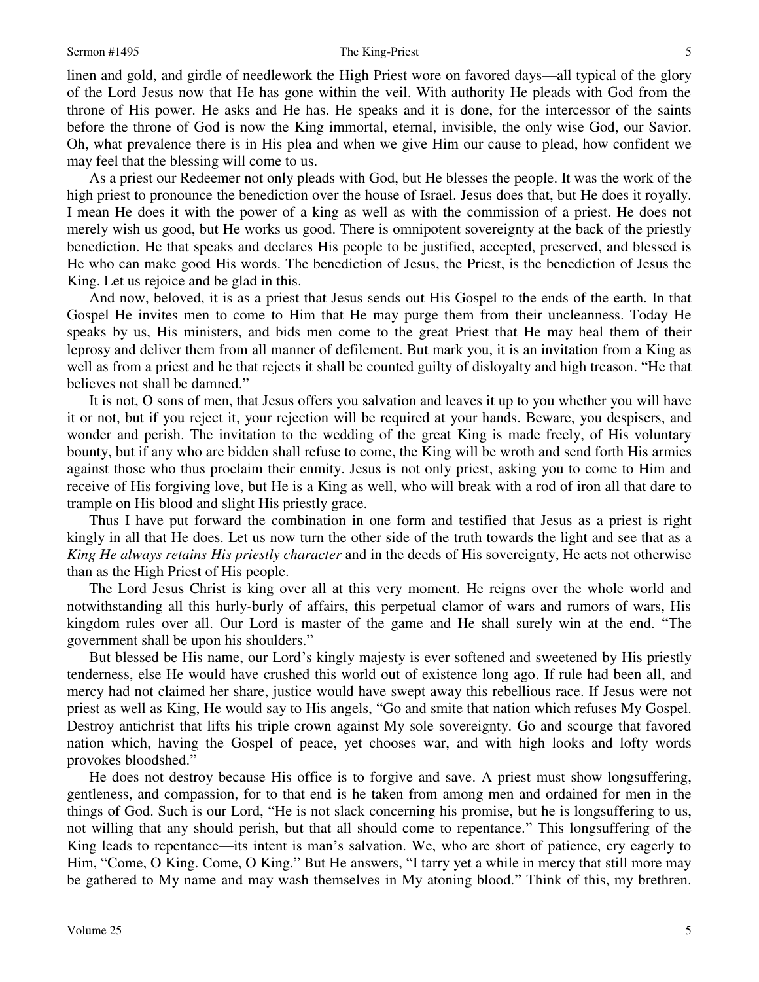#### Sermon #1495 The King-Priest

linen and gold, and girdle of needlework the High Priest wore on favored days—all typical of the glory of the Lord Jesus now that He has gone within the veil. With authority He pleads with God from the throne of His power. He asks and He has. He speaks and it is done, for the intercessor of the saints before the throne of God is now the King immortal, eternal, invisible, the only wise God, our Savior. Oh, what prevalence there is in His plea and when we give Him our cause to plead, how confident we may feel that the blessing will come to us.

 As a priest our Redeemer not only pleads with God, but He blesses the people. It was the work of the high priest to pronounce the benediction over the house of Israel. Jesus does that, but He does it royally. I mean He does it with the power of a king as well as with the commission of a priest. He does not merely wish us good, but He works us good. There is omnipotent sovereignty at the back of the priestly benediction. He that speaks and declares His people to be justified, accepted, preserved, and blessed is He who can make good His words. The benediction of Jesus, the Priest, is the benediction of Jesus the King. Let us rejoice and be glad in this.

 And now, beloved, it is as a priest that Jesus sends out His Gospel to the ends of the earth. In that Gospel He invites men to come to Him that He may purge them from their uncleanness. Today He speaks by us, His ministers, and bids men come to the great Priest that He may heal them of their leprosy and deliver them from all manner of defilement. But mark you, it is an invitation from a King as well as from a priest and he that rejects it shall be counted guilty of disloyalty and high treason. "He that believes not shall be damned."

 It is not, O sons of men, that Jesus offers you salvation and leaves it up to you whether you will have it or not, but if you reject it, your rejection will be required at your hands. Beware, you despisers, and wonder and perish. The invitation to the wedding of the great King is made freely, of His voluntary bounty, but if any who are bidden shall refuse to come, the King will be wroth and send forth His armies against those who thus proclaim their enmity. Jesus is not only priest, asking you to come to Him and receive of His forgiving love, but He is a King as well, who will break with a rod of iron all that dare to trample on His blood and slight His priestly grace.

 Thus I have put forward the combination in one form and testified that Jesus as a priest is right kingly in all that He does. Let us now turn the other side of the truth towards the light and see that as a *King He always retains His priestly character* and in the deeds of His sovereignty, He acts not otherwise than as the High Priest of His people.

 The Lord Jesus Christ is king over all at this very moment. He reigns over the whole world and notwithstanding all this hurly-burly of affairs, this perpetual clamor of wars and rumors of wars, His kingdom rules over all. Our Lord is master of the game and He shall surely win at the end. "The government shall be upon his shoulders."

 But blessed be His name, our Lord's kingly majesty is ever softened and sweetened by His priestly tenderness, else He would have crushed this world out of existence long ago. If rule had been all, and mercy had not claimed her share, justice would have swept away this rebellious race. If Jesus were not priest as well as King, He would say to His angels, "Go and smite that nation which refuses My Gospel. Destroy antichrist that lifts his triple crown against My sole sovereignty. Go and scourge that favored nation which, having the Gospel of peace, yet chooses war, and with high looks and lofty words provokes bloodshed."

 He does not destroy because His office is to forgive and save. A priest must show longsuffering, gentleness, and compassion, for to that end is he taken from among men and ordained for men in the things of God. Such is our Lord, "He is not slack concerning his promise, but he is longsuffering to us, not willing that any should perish, but that all should come to repentance." This longsuffering of the King leads to repentance—its intent is man's salvation. We, who are short of patience, cry eagerly to Him, "Come, O King. Come, O King." But He answers, "I tarry yet a while in mercy that still more may be gathered to My name and may wash themselves in My atoning blood." Think of this, my brethren.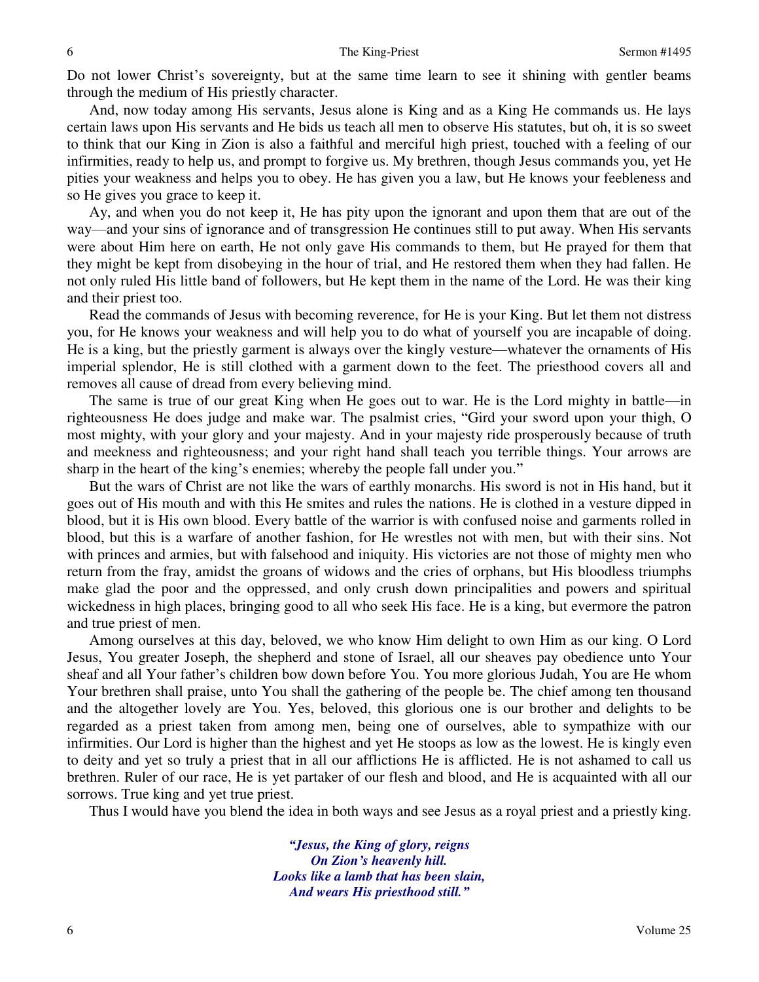Do not lower Christ's sovereignty, but at the same time learn to see it shining with gentler beams through the medium of His priestly character.

 And, now today among His servants, Jesus alone is King and as a King He commands us. He lays certain laws upon His servants and He bids us teach all men to observe His statutes, but oh, it is so sweet to think that our King in Zion is also a faithful and merciful high priest, touched with a feeling of our infirmities, ready to help us, and prompt to forgive us. My brethren, though Jesus commands you, yet He pities your weakness and helps you to obey. He has given you a law, but He knows your feebleness and so He gives you grace to keep it.

Ay, and when you do not keep it, He has pity upon the ignorant and upon them that are out of the way—and your sins of ignorance and of transgression He continues still to put away. When His servants were about Him here on earth, He not only gave His commands to them, but He prayed for them that they might be kept from disobeying in the hour of trial, and He restored them when they had fallen. He not only ruled His little band of followers, but He kept them in the name of the Lord. He was their king and their priest too.

 Read the commands of Jesus with becoming reverence, for He is your King. But let them not distress you, for He knows your weakness and will help you to do what of yourself you are incapable of doing. He is a king, but the priestly garment is always over the kingly vesture—whatever the ornaments of His imperial splendor, He is still clothed with a garment down to the feet. The priesthood covers all and removes all cause of dread from every believing mind.

 The same is true of our great King when He goes out to war. He is the Lord mighty in battle—in righteousness He does judge and make war. The psalmist cries, "Gird your sword upon your thigh, O most mighty, with your glory and your majesty. And in your majesty ride prosperously because of truth and meekness and righteousness; and your right hand shall teach you terrible things. Your arrows are sharp in the heart of the king's enemies; whereby the people fall under you."

 But the wars of Christ are not like the wars of earthly monarchs. His sword is not in His hand, but it goes out of His mouth and with this He smites and rules the nations. He is clothed in a vesture dipped in blood, but it is His own blood. Every battle of the warrior is with confused noise and garments rolled in blood, but this is a warfare of another fashion, for He wrestles not with men, but with their sins. Not with princes and armies, but with falsehood and iniquity. His victories are not those of mighty men who return from the fray, amidst the groans of widows and the cries of orphans, but His bloodless triumphs make glad the poor and the oppressed, and only crush down principalities and powers and spiritual wickedness in high places, bringing good to all who seek His face. He is a king, but evermore the patron and true priest of men.

 Among ourselves at this day, beloved, we who know Him delight to own Him as our king. O Lord Jesus, You greater Joseph, the shepherd and stone of Israel, all our sheaves pay obedience unto Your sheaf and all Your father's children bow down before You. You more glorious Judah, You are He whom Your brethren shall praise, unto You shall the gathering of the people be. The chief among ten thousand and the altogether lovely are You. Yes, beloved, this glorious one is our brother and delights to be regarded as a priest taken from among men, being one of ourselves, able to sympathize with our infirmities. Our Lord is higher than the highest and yet He stoops as low as the lowest. He is kingly even to deity and yet so truly a priest that in all our afflictions He is afflicted. He is not ashamed to call us brethren. Ruler of our race, He is yet partaker of our flesh and blood, and He is acquainted with all our sorrows. True king and yet true priest.

Thus I would have you blend the idea in both ways and see Jesus as a royal priest and a priestly king.

*"Jesus, the King of glory, reigns On Zion's heavenly hill. Looks like a lamb that has been slain, And wears His priesthood still."*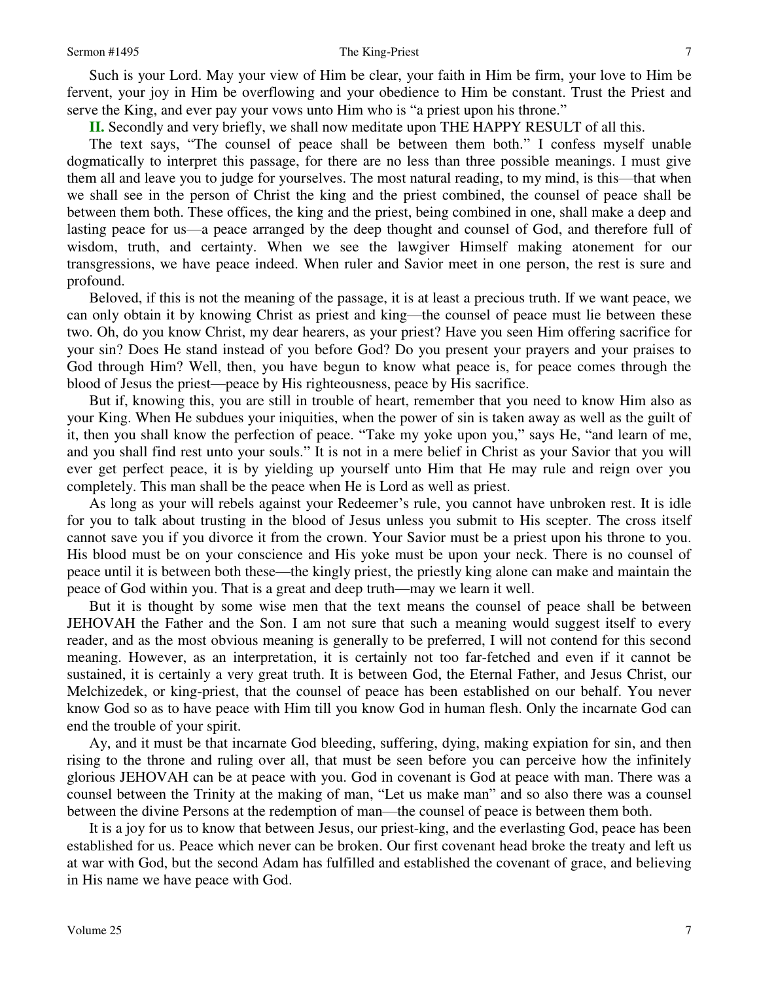Such is your Lord. May your view of Him be clear, your faith in Him be firm, your love to Him be fervent, your joy in Him be overflowing and your obedience to Him be constant. Trust the Priest and serve the King, and ever pay your vows unto Him who is "a priest upon his throne."

**II.** Secondly and very briefly, we shall now meditate upon THE HAPPY RESULT of all this.

 The text says, "The counsel of peace shall be between them both." I confess myself unable dogmatically to interpret this passage, for there are no less than three possible meanings. I must give them all and leave you to judge for yourselves. The most natural reading, to my mind, is this—that when we shall see in the person of Christ the king and the priest combined, the counsel of peace shall be between them both. These offices, the king and the priest, being combined in one, shall make a deep and lasting peace for us—a peace arranged by the deep thought and counsel of God, and therefore full of wisdom, truth, and certainty. When we see the lawgiver Himself making atonement for our transgressions, we have peace indeed. When ruler and Savior meet in one person, the rest is sure and profound.

 Beloved, if this is not the meaning of the passage, it is at least a precious truth. If we want peace, we can only obtain it by knowing Christ as priest and king—the counsel of peace must lie between these two. Oh, do you know Christ, my dear hearers, as your priest? Have you seen Him offering sacrifice for your sin? Does He stand instead of you before God? Do you present your prayers and your praises to God through Him? Well, then, you have begun to know what peace is, for peace comes through the blood of Jesus the priest—peace by His righteousness, peace by His sacrifice.

 But if, knowing this, you are still in trouble of heart, remember that you need to know Him also as your King. When He subdues your iniquities, when the power of sin is taken away as well as the guilt of it, then you shall know the perfection of peace. "Take my yoke upon you," says He, "and learn of me, and you shall find rest unto your souls." It is not in a mere belief in Christ as your Savior that you will ever get perfect peace, it is by yielding up yourself unto Him that He may rule and reign over you completely. This man shall be the peace when He is Lord as well as priest.

 As long as your will rebels against your Redeemer's rule, you cannot have unbroken rest. It is idle for you to talk about trusting in the blood of Jesus unless you submit to His scepter. The cross itself cannot save you if you divorce it from the crown. Your Savior must be a priest upon his throne to you. His blood must be on your conscience and His yoke must be upon your neck. There is no counsel of peace until it is between both these—the kingly priest, the priestly king alone can make and maintain the peace of God within you. That is a great and deep truth—may we learn it well.

 But it is thought by some wise men that the text means the counsel of peace shall be between JEHOVAH the Father and the Son. I am not sure that such a meaning would suggest itself to every reader, and as the most obvious meaning is generally to be preferred, I will not contend for this second meaning. However, as an interpretation, it is certainly not too far-fetched and even if it cannot be sustained, it is certainly a very great truth. It is between God, the Eternal Father, and Jesus Christ, our Melchizedek, or king-priest, that the counsel of peace has been established on our behalf. You never know God so as to have peace with Him till you know God in human flesh. Only the incarnate God can end the trouble of your spirit.

Ay, and it must be that incarnate God bleeding, suffering, dying, making expiation for sin, and then rising to the throne and ruling over all, that must be seen before you can perceive how the infinitely glorious JEHOVAH can be at peace with you. God in covenant is God at peace with man. There was a counsel between the Trinity at the making of man, "Let us make man" and so also there was a counsel between the divine Persons at the redemption of man—the counsel of peace is between them both.

 It is a joy for us to know that between Jesus, our priest-king, and the everlasting God, peace has been established for us. Peace which never can be broken. Our first covenant head broke the treaty and left us at war with God, but the second Adam has fulfilled and established the covenant of grace, and believing in His name we have peace with God.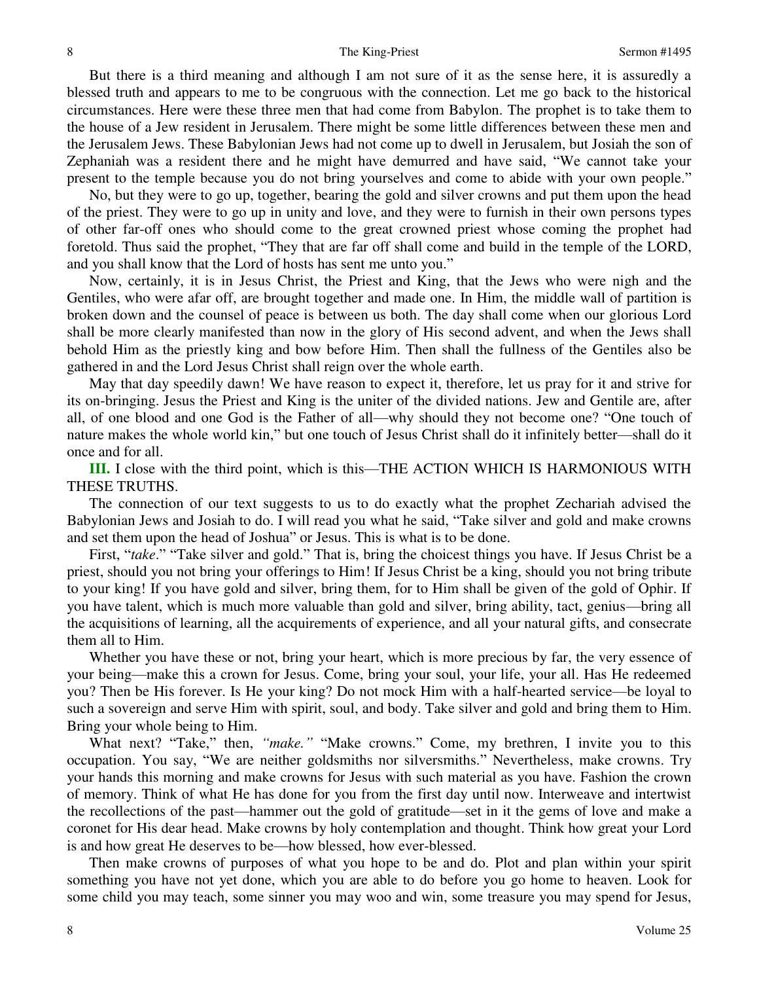But there is a third meaning and although I am not sure of it as the sense here, it is assuredly a blessed truth and appears to me to be congruous with the connection. Let me go back to the historical circumstances. Here were these three men that had come from Babylon. The prophet is to take them to the house of a Jew resident in Jerusalem. There might be some little differences between these men and the Jerusalem Jews. These Babylonian Jews had not come up to dwell in Jerusalem, but Josiah the son of Zephaniah was a resident there and he might have demurred and have said, "We cannot take your present to the temple because you do not bring yourselves and come to abide with your own people."

 No, but they were to go up, together, bearing the gold and silver crowns and put them upon the head of the priest. They were to go up in unity and love, and they were to furnish in their own persons types of other far-off ones who should come to the great crowned priest whose coming the prophet had foretold. Thus said the prophet, "They that are far off shall come and build in the temple of the LORD, and you shall know that the Lord of hosts has sent me unto you."

 Now, certainly, it is in Jesus Christ, the Priest and King, that the Jews who were nigh and the Gentiles, who were afar off, are brought together and made one. In Him, the middle wall of partition is broken down and the counsel of peace is between us both. The day shall come when our glorious Lord shall be more clearly manifested than now in the glory of His second advent, and when the Jews shall behold Him as the priestly king and bow before Him. Then shall the fullness of the Gentiles also be gathered in and the Lord Jesus Christ shall reign over the whole earth.

 May that day speedily dawn! We have reason to expect it, therefore, let us pray for it and strive for its on-bringing. Jesus the Priest and King is the uniter of the divided nations. Jew and Gentile are, after all, of one blood and one God is the Father of all—why should they not become one? "One touch of nature makes the whole world kin," but one touch of Jesus Christ shall do it infinitely better—shall do it once and for all.

**III.** I close with the third point, which is this—THE ACTION WHICH IS HARMONIOUS WITH THESE TRUTHS.

 The connection of our text suggests to us to do exactly what the prophet Zechariah advised the Babylonian Jews and Josiah to do. I will read you what he said, "Take silver and gold and make crowns and set them upon the head of Joshua" or Jesus. This is what is to be done.

 First, "*take*." "Take silver and gold." That is, bring the choicest things you have. If Jesus Christ be a priest, should you not bring your offerings to Him! If Jesus Christ be a king, should you not bring tribute to your king! If you have gold and silver, bring them, for to Him shall be given of the gold of Ophir. If you have talent, which is much more valuable than gold and silver, bring ability, tact, genius—bring all the acquisitions of learning, all the acquirements of experience, and all your natural gifts, and consecrate them all to Him.

Whether you have these or not, bring your heart, which is more precious by far, the very essence of your being—make this a crown for Jesus. Come, bring your soul, your life, your all. Has He redeemed you? Then be His forever. Is He your king? Do not mock Him with a half-hearted service—be loyal to such a sovereign and serve Him with spirit, soul, and body. Take silver and gold and bring them to Him. Bring your whole being to Him.

What next? "Take," then, "make." "Make crowns." Come, my brethren, I invite you to this occupation. You say, "We are neither goldsmiths nor silversmiths." Nevertheless, make crowns. Try your hands this morning and make crowns for Jesus with such material as you have. Fashion the crown of memory. Think of what He has done for you from the first day until now. Interweave and intertwist the recollections of the past—hammer out the gold of gratitude—set in it the gems of love and make a coronet for His dear head. Make crowns by holy contemplation and thought. Think how great your Lord is and how great He deserves to be—how blessed, how ever-blessed.

 Then make crowns of purposes of what you hope to be and do. Plot and plan within your spirit something you have not yet done, which you are able to do before you go home to heaven. Look for some child you may teach, some sinner you may woo and win, some treasure you may spend for Jesus,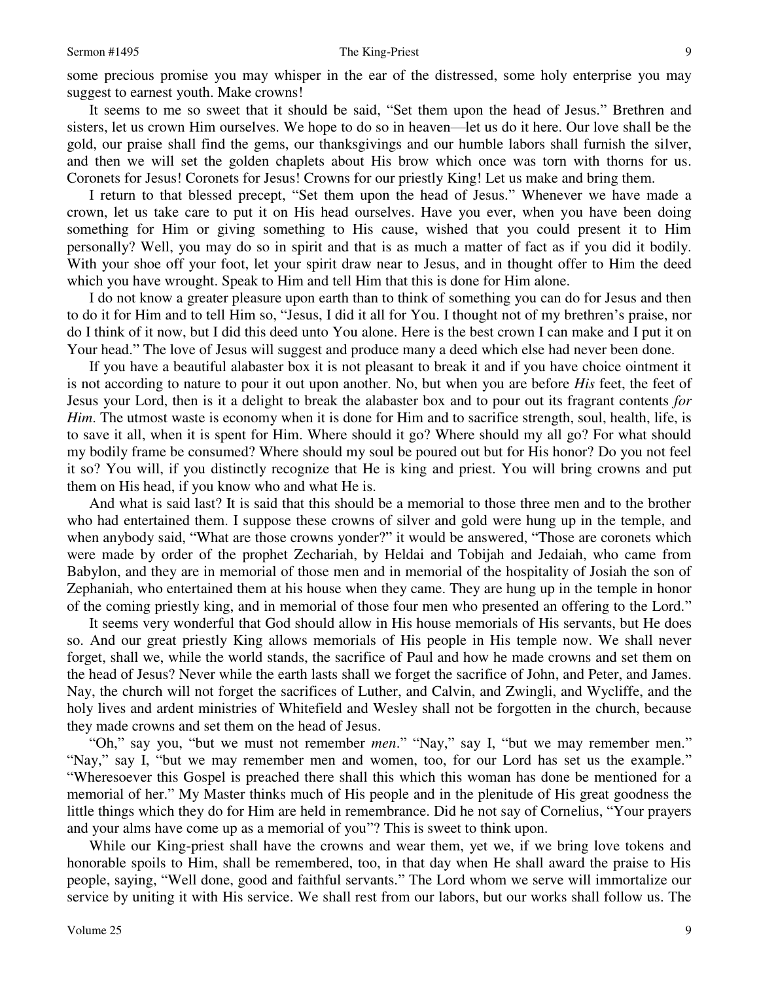some precious promise you may whisper in the ear of the distressed, some holy enterprise you may suggest to earnest youth. Make crowns!

 It seems to me so sweet that it should be said, "Set them upon the head of Jesus." Brethren and sisters, let us crown Him ourselves. We hope to do so in heaven—let us do it here. Our love shall be the gold, our praise shall find the gems, our thanksgivings and our humble labors shall furnish the silver, and then we will set the golden chaplets about His brow which once was torn with thorns for us. Coronets for Jesus! Coronets for Jesus! Crowns for our priestly King! Let us make and bring them.

 I return to that blessed precept, "Set them upon the head of Jesus." Whenever we have made a crown, let us take care to put it on His head ourselves. Have you ever, when you have been doing something for Him or giving something to His cause, wished that you could present it to Him personally? Well, you may do so in spirit and that is as much a matter of fact as if you did it bodily. With your shoe off your foot, let your spirit draw near to Jesus, and in thought offer to Him the deed which you have wrought. Speak to Him and tell Him that this is done for Him alone.

 I do not know a greater pleasure upon earth than to think of something you can do for Jesus and then to do it for Him and to tell Him so, "Jesus, I did it all for You. I thought not of my brethren's praise, nor do I think of it now, but I did this deed unto You alone. Here is the best crown I can make and I put it on Your head." The love of Jesus will suggest and produce many a deed which else had never been done.

 If you have a beautiful alabaster box it is not pleasant to break it and if you have choice ointment it is not according to nature to pour it out upon another. No, but when you are before *His* feet, the feet of Jesus your Lord, then is it a delight to break the alabaster box and to pour out its fragrant contents *for Him*. The utmost waste is economy when it is done for Him and to sacrifice strength, soul, health, life, is to save it all, when it is spent for Him. Where should it go? Where should my all go? For what should my bodily frame be consumed? Where should my soul be poured out but for His honor? Do you not feel it so? You will, if you distinctly recognize that He is king and priest. You will bring crowns and put them on His head, if you know who and what He is.

 And what is said last? It is said that this should be a memorial to those three men and to the brother who had entertained them. I suppose these crowns of silver and gold were hung up in the temple, and when anybody said, "What are those crowns yonder?" it would be answered, "Those are coronets which were made by order of the prophet Zechariah, by Heldai and Tobijah and Jedaiah, who came from Babylon, and they are in memorial of those men and in memorial of the hospitality of Josiah the son of Zephaniah, who entertained them at his house when they came. They are hung up in the temple in honor of the coming priestly king, and in memorial of those four men who presented an offering to the Lord."

 It seems very wonderful that God should allow in His house memorials of His servants, but He does so. And our great priestly King allows memorials of His people in His temple now. We shall never forget, shall we, while the world stands, the sacrifice of Paul and how he made crowns and set them on the head of Jesus? Never while the earth lasts shall we forget the sacrifice of John, and Peter, and James. Nay, the church will not forget the sacrifices of Luther, and Calvin, and Zwingli, and Wycliffe, and the holy lives and ardent ministries of Whitefield and Wesley shall not be forgotten in the church, because they made crowns and set them on the head of Jesus.

"Oh," say you, "but we must not remember *men*." "Nay," say I, "but we may remember men." "Nay," say I, "but we may remember men and women, too, for our Lord has set us the example." "Wheresoever this Gospel is preached there shall this which this woman has done be mentioned for a memorial of her." My Master thinks much of His people and in the plenitude of His great goodness the little things which they do for Him are held in remembrance. Did he not say of Cornelius, "Your prayers and your alms have come up as a memorial of you"? This is sweet to think upon.

 While our King-priest shall have the crowns and wear them, yet we, if we bring love tokens and honorable spoils to Him, shall be remembered, too, in that day when He shall award the praise to His people, saying, "Well done, good and faithful servants." The Lord whom we serve will immortalize our service by uniting it with His service. We shall rest from our labors, but our works shall follow us. The